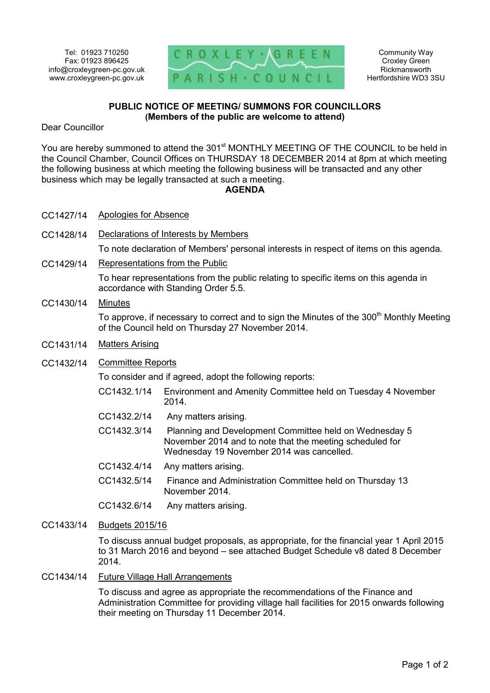

Community Way Croxley Green Rickmansworth Hertfordshire WD3 3SU

## **PUBLIC NOTICE OF MEETING/ SUMMONS FOR COUNCILLORS (Members of the public are welcome to attend)**

Dear Councillor

You are hereby summoned to attend the 301<sup>st</sup> MONTHLY MEETING OF THE COUNCIL to be held in the Council Chamber, Council Offices on THURSDAY 18 DECEMBER 2014 at 8pm at which meeting the following business at which meeting the following business will be transacted and any other business which may be legally transacted at such a meeting.

#### **AGENDA**

- CC1427/14 Apologies for Absence
- CC1428/14 Declarations of Interests by Members

To note declaration of Members' personal interests in respect of items on this agenda.

CC1429/14 Representations from the Public

To hear representations from the public relating to specific items on this agenda in accordance with Standing Order 5.5.

CC1430/14 Minutes

To approve, if necessary to correct and to sign the Minutes of the 300<sup>th</sup> Monthly Meeting of the Council held on Thursday 27 November 2014.

CC1431/14 Matters Arising

#### CC1432/14 Committee Reports

To consider and if agreed, adopt the following reports:

- CC1432.1/14 Environment and Amenity Committee held on Tuesday 4 November 2014.
- CC1432.2/14 Any matters arising.
- CC1432.3/14 Planning and Development Committee held on Wednesday 5 November 2014 and to note that the meeting scheduled for Wednesday 19 November 2014 was cancelled.
- CC1432.4/14 Any matters arising.
- CC1432.5/14 Finance and Administration Committee held on Thursday 13 November 2014.

CC1432.6/14 Any matters arising.

CC1433/14 Budgets 2015/16

To discuss annual budget proposals, as appropriate, for the financial year 1 April 2015 to 31 March 2016 and beyond – see attached Budget Schedule v8 dated 8 December 2014.

### CC1434/14 Future Village Hall Arrangements

To discuss and agree as appropriate the recommendations of the Finance and Administration Committee for providing village hall facilities for 2015 onwards following their meeting on Thursday 11 December 2014.